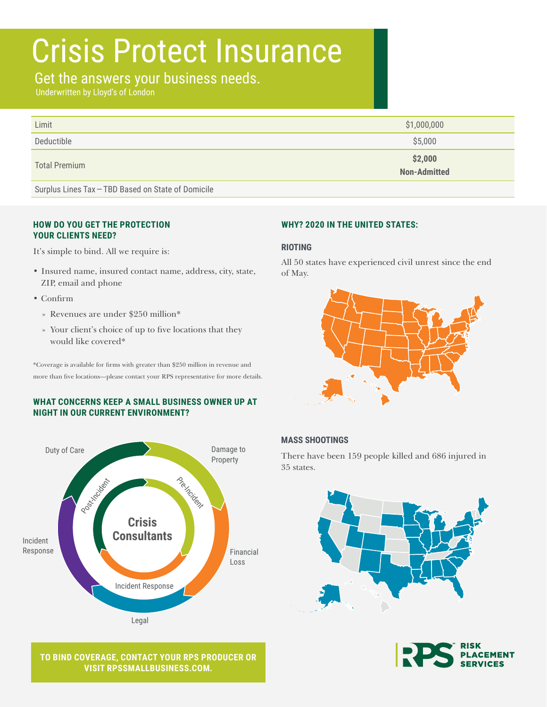# Crisis Protect Insurance

## Get the answers your business needs.

Underwritten by Lloyd's of London

| Limit                | \$1,000,000             |
|----------------------|-------------------------|
| Deductible           | \$5,000                 |
| <b>Total Premium</b> | \$2,000<br>Non-Admitted |
|                      |                         |

Surplus Lines Tax — TBD Based on State of Domicile

#### **HOW DO YOU GET THE PROTECTION YOUR CLIENTS NEED?**

It's simple to bind. All we require is:

- Insured name, insured contact name, address, city, state, ZIP, email and phone
- Confirm
	- » Revenues are under \$250 million\*
	- » Your client's choice of up to five locations that they would like covered\*

\*Coverage is available for firms with greater than \$250 million in revenue and more than five locations—please contact your RPS representative for more details.

#### **WHAT CONCERNS KEEP A SMALL BUSINESS OWNER UP AT NIGHT IN OUR CURRENT ENVIRONMENT?**



**TO BIND COVERAGE, CONTACT YOUR RPS PRODUCER OR VISIT [RPSSMALLBUSINESS.COM](http://RPSSmallBusiness.com).**

#### **WHY? 2020 IN THE UNITED STATES:**

#### **RIOTING**

All 50 states have experienced civil unrest since the end of May.



#### **MASS SHOOTINGS**

There have been 159 people killed and 686 injured in 35 states.



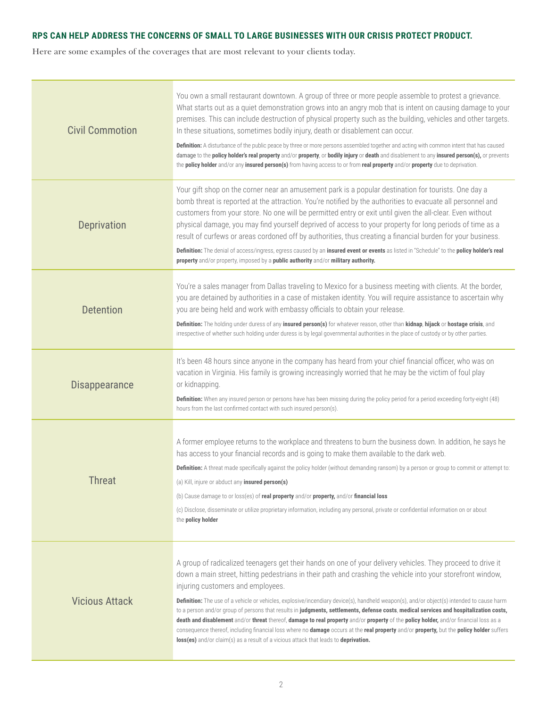### **RPS CAN HELP ADDRESS THE CONCERNS OF SMALL TO LARGE BUSINESSES WITH OUR CRISIS PROTECT PRODUCT.**

Here are some examples of the coverages that are most relevant to your clients today.

| <b>Civil Commotion</b> | You own a small restaurant downtown. A group of three or more people assemble to protest a grievance.<br>What starts out as a quiet demonstration grows into an angry mob that is intent on causing damage to your<br>premises. This can include destruction of physical property such as the building, vehicles and other targets.<br>In these situations, sometimes bodily injury, death or disablement can occur.<br>Definition: A disturbance of the public peace by three or more persons assembled together and acting with common intent that has caused<br>damage to the policy holder's real property and/or property, or bodily injury or death and disablement to any insured person(s), or prevents<br>the policy holder and/or any insured person(s) from having access to or from real property and/or property due to deprivation.                                                                                  |
|------------------------|------------------------------------------------------------------------------------------------------------------------------------------------------------------------------------------------------------------------------------------------------------------------------------------------------------------------------------------------------------------------------------------------------------------------------------------------------------------------------------------------------------------------------------------------------------------------------------------------------------------------------------------------------------------------------------------------------------------------------------------------------------------------------------------------------------------------------------------------------------------------------------------------------------------------------------|
| <b>Deprivation</b>     | Your gift shop on the corner near an amusement park is a popular destination for tourists. One day a<br>bomb threat is reported at the attraction. You're notified by the authorities to evacuate all personnel and<br>customers from your store. No one will be permitted entry or exit until given the all-clear. Even without<br>physical damage, you may find yourself deprived of access to your property for long periods of time as a<br>result of curfews or areas cordoned off by authorities, thus creating a financial burden for your business.<br>Definition: The denial of access/ingress, egress caused by an insured event or events as listed in "Schedule" to the policy holder's real<br>property and/or property, imposed by a public authority and/or military authority.                                                                                                                                     |
| <b>Detention</b>       | You're a sales manager from Dallas traveling to Mexico for a business meeting with clients. At the border,<br>you are detained by authorities in a case of mistaken identity. You will require assistance to ascertain why<br>you are being held and work with embassy officials to obtain your release.<br>Definition: The holding under duress of any insured person(s) for whatever reason, other than kidnap, hijack or hostage crisis, and<br>irrespective of whether such holding under duress is by legal governmental authorities in the place of custody or by other parties.                                                                                                                                                                                                                                                                                                                                             |
| <b>Disappearance</b>   | It's been 48 hours since anyone in the company has heard from your chief financial officer, who was on<br>vacation in Virginia. His family is growing increasingly worried that he may be the victim of foul play<br>or kidnapping.<br>Definition: When any insured person or persons have has been missing during the policy period for a period exceeding forty-eight (48)<br>hours from the last confirmed contact with such insured person(s).                                                                                                                                                                                                                                                                                                                                                                                                                                                                                 |
| <b>Threat</b>          | A former employee returns to the workplace and threatens to burn the business down. In addition, he says he<br>has access to your financial records and is going to make them available to the dark web.<br>Definition: A threat made specifically against the policy holder (without demanding ransom) by a person or group to commit or attempt to:<br>(a) Kill, injure or abduct any insured person(s)<br>(b) Cause damage to or loss(es) of real property and/or property, and/or financial loss<br>(c) Disclose, disseminate or utilize proprietary information, including any personal, private or confidential information on or about<br>the policy holder                                                                                                                                                                                                                                                                 |
| <b>Vicious Attack</b>  | A group of radicalized teenagers get their hands on one of your delivery vehicles. They proceed to drive it<br>down a main street, hitting pedestrians in their path and crashing the vehicle into your storefront window,<br>injuring customers and employees.<br>Definition: The use of a vehicle or vehicles, explosive/incendiary device(s), handheld weapon(s), and/or object(s) intended to cause harm<br>to a person and/or group of persons that results in judgments, settlements, defense costs, medical services and hospitalization costs,<br>death and disablement and/or threat thereof, damage to real property and/or property of the policy holder, and/or financial loss as a<br>consequence thereof, including financial loss where no damage occurs at the real property and/or property, but the policy holder suffers<br>loss(es) and/or claim(s) as a result of a vicious attack that leads to deprivation. |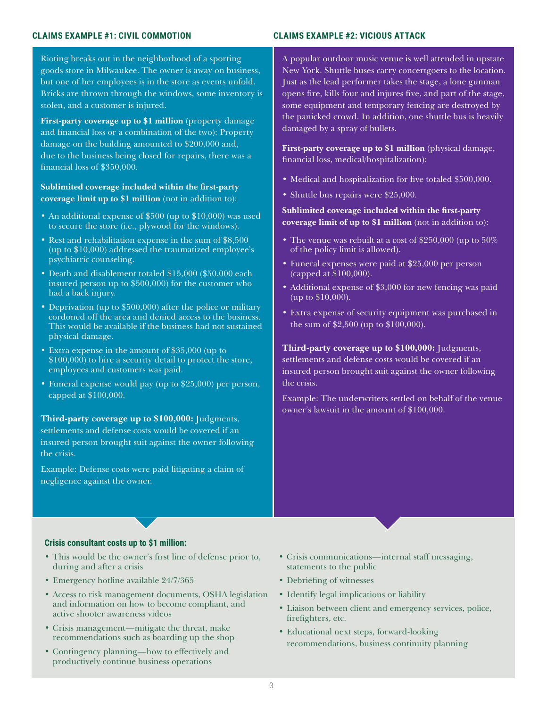#### **CLAIMS EXAMPLE #1: CIVIL COMMOTION CLAIMS EXAMPLE #2: VICIOUS ATTACK**

Rioting breaks out in the neighborhood of a sporting goods store in Milwaukee. The owner is away on business, but one of her employees is in the store as events unfold. Bricks are thrown through the windows, some inventory is stolen, and a customer is injured.

**First-party coverage up to \$1 million** (property damage and financial loss or a combination of the two): Property damage on the building amounted to \$200,000 and, due to the business being closed for repairs, there was a financial loss of \$350,000.

**Sublimited coverage included within the first-party coverage limit up to \$1 million** (not in addition to):

- An additional expense of \$500 (up to \$10,000) was used to secure the store (i.e., plywood for the windows).
- Rest and rehabilitation expense in the sum of \$8,500 (up to \$10,000) addressed the traumatized employee's psychiatric counseling.
- Death and disablement totaled \$15,000 (\$50,000 each insured person up to \$500,000) for the customer who had a back injury.
- Deprivation (up to \$500,000) after the police or military cordoned off the area and denied access to the business. This would be available if the business had not sustained physical damage.
- Extra expense in the amount of \$35,000 (up to \$100,000) to hire a security detail to protect the store, employees and customers was paid.
- Funeral expense would pay (up to \$25,000) per person, capped at \$100,000.

**Third-party coverage up to \$100,000:** Judgments, settlements and defense costs would be covered if an insured person brought suit against the owner following the crisis.

Example: Defense costs were paid litigating a claim of negligence against the owner.

A popular outdoor music venue is well attended in upstate New York. Shuttle buses carry concertgoers to the location. Just as the lead performer takes the stage, a lone gunman opens fire, kills four and injures five, and part of the stage, some equipment and temporary fencing are destroyed by the panicked crowd. In addition, one shuttle bus is heavily damaged by a spray of bullets.

**First-party coverage up to \$1 million** (physical damage, financial loss, medical/hospitalization):

- Medical and hospitalization for five totaled \$500,000.
- Shuttle bus repairs were \$25,000.

**Sublimited coverage included within the first-party coverage limit of up to \$1 million** (not in addition to):

- The venue was rebuilt at a cost of \$250,000 (up to 50%) of the policy limit is allowed).
- Funeral expenses were paid at \$25,000 per person (capped at \$100,000).
- Additional expense of \$3,000 for new fencing was paid (up to  $$10,000$ ).
- Extra expense of security equipment was purchased in the sum of \$2,500 (up to \$100,000).

**Third-party coverage up to \$100,000:** Judgments, settlements and defense costs would be covered if an insured person brought suit against the owner following the crisis.

Example: The underwriters settled on behalf of the venue owner's lawsuit in the amount of \$100,000.

#### **Crisis consultant costs up to \$1 million:**

- This would be the owner's first line of defense prior to, during and after a crisis
- Emergency hotline available 24/7/365
- Access to risk management documents, OSHA legislation and information on how to become compliant, and active shooter awareness videos
- Crisis management—mitigate the threat, make recommendations such as boarding up the shop
- Contingency planning—how to effectively and productively continue business operations
- Crisis communications—internal staff messaging, statements to the public
- Debriefing of witnesses
- Identify legal implications or liability
- Liaison between client and emergency services, police, firefighters, etc.
- Educational next steps, forward-looking recommendations, business continuity planning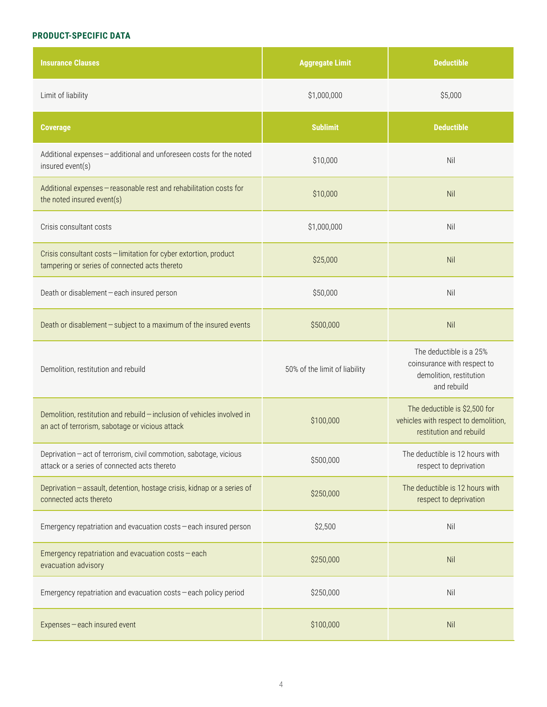#### **PRODUCT-SPECIFIC DATA**

| <b>Insurance Clauses</b>                                                                                                   | <b>Aggregate Limit</b>        | <b>Deductible</b>                                                                                |
|----------------------------------------------------------------------------------------------------------------------------|-------------------------------|--------------------------------------------------------------------------------------------------|
| Limit of liability                                                                                                         | \$1,000,000                   | \$5,000                                                                                          |
| <b>Coverage</b>                                                                                                            | <b>Sublimit</b>               | <b>Deductible</b>                                                                                |
| Additional expenses - additional and unforeseen costs for the noted<br>insured event(s)                                    | \$10,000                      | Nil                                                                                              |
| Additional expenses - reasonable rest and rehabilitation costs for<br>the noted insured event(s)                           | \$10,000                      | Nil                                                                                              |
| Crisis consultant costs                                                                                                    | \$1,000,000                   | Nil                                                                                              |
| Crisis consultant costs - limitation for cyber extortion, product<br>tampering or series of connected acts thereto         | \$25,000                      | Nil                                                                                              |
| Death or disablement - each insured person                                                                                 | \$50,000                      | Nil                                                                                              |
| Death or disablement - subject to a maximum of the insured events                                                          | \$500,000                     | Nil                                                                                              |
| Demolition, restitution and rebuild                                                                                        | 50% of the limit of liability | The deductible is a 25%<br>coinsurance with respect to<br>demolition, restitution<br>and rebuild |
| Demolition, restitution and rebuild - inclusion of vehicles involved in<br>an act of terrorism, sabotage or vicious attack | \$100,000                     | The deductible is \$2,500 for<br>vehicles with respect to demolition,<br>restitution and rebuild |
| Deprivation - act of terrorism, civil commotion, sabotage, vicious<br>attack or a series of connected acts thereto         | \$500,000                     | The deductible is 12 hours with<br>respect to deprivation                                        |
| Deprivation - assault, detention, hostage crisis, kidnap or a series of<br>connected acts thereto                          | \$250,000                     | The deductible is 12 hours with<br>respect to deprivation                                        |
| Emergency repatriation and evacuation costs - each insured person                                                          | \$2,500                       | Nil                                                                                              |
| Emergency repatriation and evacuation costs - each<br>evacuation advisory                                                  | \$250,000                     | Nil                                                                                              |
| Emergency repatriation and evacuation costs - each policy period                                                           | \$250,000                     | Nil                                                                                              |
| Expenses-each insured event                                                                                                | \$100,000                     | Nil                                                                                              |